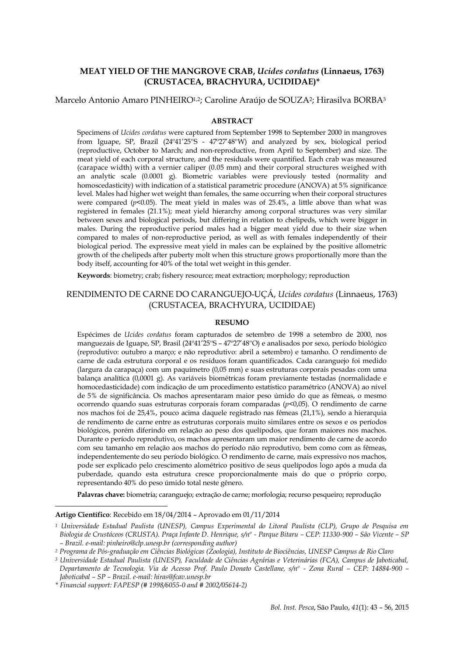# **MEAT YIELD OF THE MANGROVE CRAB,** *Ucides cordatus* **(Linnaeus, 1763) (CRUSTACEA, BRACHYURA, UCIDIDAE)\***

# Marcelo Antonio Amaro PINHEIRO1,2; Caroline Araújo de SOUZA2; Hirasilva BORBA<sup>3</sup>

#### **ABSTRACT**

Specimens of *Ucides cordatus* were captured from September 1998 to September 2000 in mangroves from Iguape, SP, Brazil (24º41'25''S - 47º27'48''W) and analyzed by sex, biological period (reproductive, October to March; and non-reproductive, from April to September) and size. The meat yield of each corporal structure, and the residuals were quantified. Each crab was measured (carapace width) with a vernier caliper (0.05 mm) and their corporal structures weighed with an analytic scale (0.0001 g). Biometric variables were previously tested (normality and homoscedasticity) with indication of a statistical parametric procedure (ANOVA) at 5% significance level. Males had higher wet weight than females, the same occurring when their corporal structures were compared  $(p<0.05)$ . The meat yield in males was of 25.4%, a little above than what was registered in females (21.1%); meat yield hierarchy among corporal structures was very similar between sexes and biological periods, but differing in relation to chelipeds, which were bigger in males. During the reproductive period males had a bigger meat yield due to their size when compared to males of non-reproductive period, as well as with females independently of their biological period. The expressive meat yield in males can be explained by the positive allometric growth of the chelipeds after puberty molt when this structure grows proportionally more than the body itself, accounting for 40% of the total wet weight in this gender.

**Keywords**: biometry; crab; fishery resource; meat extraction; morphology; reproduction

# RENDIMENTO DE CARNE DO CARANGUEJO-UÇÁ, *Ucides cordatus* (Linnaeus, 1763) (CRUSTACEA, BRACHYURA, UCIDIDAE)

### **RESUMO**

Espécimes de *Ucides cordatus* foram capturados de setembro de 1998 a setembro de 2000, nos manguezais de Iguape, SP, Brasil (24º41'25''S – 47º27'48''O) e analisados por sexo, período biológico (reprodutivo: outubro a março; e não reprodutivo: abril a setembro) e tamanho. O rendimento de carne de cada estrutura corporal e os resíduos foram quantificados. Cada caranguejo foi medido (largura da carapaça) com um paquímetro (0,05 mm) e suas estruturas corporais pesadas com uma balança analítica (0,0001 g). As variáveis biométricas foram previamente testadas (normalidade e homocedasticidade) com indicação de um procedimento estatístico paramétrico (ANOVA) ao nível de 5% de significância. Os machos apresentaram maior peso úmido do que as fêmeas, o mesmo ocorrendo quando suas estruturas corporais foram comparadas (*p*<0,05). O rendimento de carne nos machos foi de 25,4%, pouco acima daquele registrado nas fêmeas (21,1%), sendo a hierarquia de rendimento de carne entre as estruturas corporais muito similares entre os sexos e os períodos biológicos, porém diferindo em relação ao peso dos quelípodos, que foram maiores nos machos. Durante o período reprodutivo, os machos apresentaram um maior rendimento de carne de acordo com seu tamanho em relação aos machos do período não reprodutivo, bem como com as fêmeas, independentemente do seu período biológico. O rendimento de carne, mais expressivo nos machos, pode ser explicado pelo crescimento alométrico positivo de seus quelípodos logo após a muda da puberdade, quando esta estrutura cresce proporcionalmente mais do que o próprio corpo, representando 40% do peso úmido total neste gênero.

**Palavras chave:** biometria; caranguejo; extração de carne; morfologia; recurso pesqueiro; reprodução

**.** 

**Artigo Científico**: Recebido em 18/04/2014 – Aprovado em 01/11/2014

*<sup>1</sup> Universidade Estadual Paulista (UNESP), Campus Experimental do Litoral Paulista (CLP), Grupo de Pesquisa em Biologia de Crustáceos (CRUSTA). Praça Infante D. Henrique, s/nº - Parque Bitaru – CEP: 11330-900 – São Vicente – SP – Brazil. e-mail: pinheiro@clp.unesp.br (corresponding author)*

*<sup>2</sup> Programa de Pós-graduação em Ciências Biológicas (Zoologia), Instituto de Biociências, UNESP Campus de Rio Claro*

*<sup>3</sup> Universidade Estadual Paulista (UNESP), Faculdade de Ciências Agrárias e Veterinárias (FCA), Campus de Jaboticabal, Departamento de Tecnologia. Via de Acesso Prof. Paulo Donato Castellane, s/nº - Zona Rural – CEP: 14884-900 – Jaboticabal – SP – Brazil. e-mail: hiras@fcav.unesp.br*

*<sup>\*</sup> Financial support: FAPESP (# 1998/6055-0 and # 2002/05614-2)*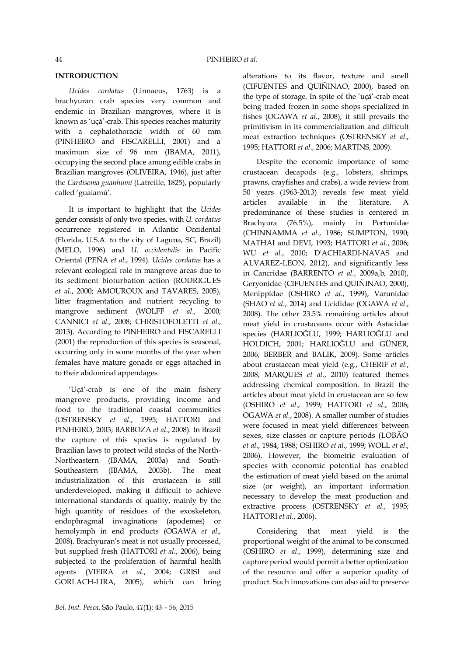# **INTRODUCTION**

*Ucides cordatus* (Linnaeus, 1763) is a brachyuran crab species very common and endemic in Brazilian mangroves, where it is known as 'uçá'-crab. This species reaches maturity with a cephalothoracic width of 60 mm (PINHEIRO and FISCARELLI, 2001) and a maximum size of 96 mm (IBAMA, 2011), occupying the second place among edible crabs in Brazilian mangroves (OLIVEIRA, 1946), just after the *Cardisoma guanhumi* (Latreille, 1825), popularly called 'guaiamú'.

It is important to highlight that the *Ucides* gender consists of only two species, with *U. cordatus* occurrence registered in Atlantic Occidental (Florida, U.S.A. to the city of Laguna, SC, Brazil) (MELO, 1996) and *U. occidentalis* in Pacific Oriental (PEÑA *et al*., 1994). *Ucides cordatus* has a relevant ecological role in mangrove areas due to its sediment bioturbation action (RODRIGUES *et al*., 2000; AMOUROUX and TAVARES, 2005), litter fragmentation and nutrient recycling to mangrove sediment (WOLFF *et al*., 2000; CANNICI *et al*., 2008; CHRISTOFOLETTI *et al.*, 2013). According to PINHEIRO and FISCARELLI (2001) the reproduction of this species is seasonal, occurring only in some months of the year when females have mature gonads or eggs attached in to their abdominal appendages.

'Uçá'-crab is one of the main fishery mangrove products, providing income and food to the traditional coastal communities (OSTRENSKY *et al*., 1995; HATTORI and PINHEIRO, 2003; BARBOZA *et al*., 2008). In Brazil the capture of this species is regulated by Brazilian laws to protect wild stocks of the North-Northeastern (IBAMA, 2003a) and South-Southeastern (IBAMA, 2003b). The meat industrialization of this crustacean is still underdeveloped, making it difficult to achieve international standards of quality, mainly by the high quantity of residues of the exoskeleton, endophragmal invaginations (apodemes) or hemolymph in end products (OGAWA *et al*., 2008). Brachyuran's meat is not usually processed, but supplied fresh (HATTORI *et al*., 2006), being subjected to the proliferation of harmful health agents (VIEIRA *et al*., 2004; GRISI and GORLACH-LIRA, 2005), which can bring alterations to its flavor, texture and smell (CIFUENTES and QUIÑINAO, 2000), based on the type of storage. In spite of the 'uçá'-crab meat being traded frozen in some shops specialized in fishes (OGAWA *et al*., 2008), it still prevails the primitivism in its commercialization and difficult meat extraction techniques (OSTRENSKY *et al*., 1995; HATTORI *et al*., 2006; MARTINS, 2009).

Despite the economic importance of some crustacean decapods (e.g., lobsters, shrimps, prawns, crayfishes and crabs), a wide review from 50 years (1963-2013) reveals few meat yield articles available in the literature. A predominance of these studies is centered in Brachyura (76.5%), mainly in Portunidae (CHINNAMMA *et al*., 1986; SUMPTON, 1990; MATHAI and DEVI, 1993; HATTORI *et al.*, 2006; WU *et al.*, 2010; D'ACHIARDI-NAVAS and ALVAREZ-LEON, 2012), and significantly less in Cancridae (BARRENTO *et al.*, 2009a,b, 2010), Geryonidae (CIFUENTES and QUIÑINAO, 2000), Menippidae (OSHIRO *et al*., 1999), Varunidae (SHAO *et al.*, 2014) and Ucididae (OGAWA *et al.*, 2008). The other 23.5% remaining articles about meat yield in crustaceans occur with Astacidae species (HARLIOĞLU, 1999; HARLIOĞLU and HOLDICH, 2001; HARLIOĞLU and GÜNER, 2006; BERBER and BALIK, 2009). Some articles about crustacean meat yield (e.g., CHERIF *et al.*, 2008; MARQUES *et al.*, 2010) featured themes addressing chemical composition. In Brazil the articles about meat yield in crustacean are so few (OSHIRO *et al*., 1999; HATTORI *et al*., 2006; OGAWA *et al.*, 2008). A smaller number of studies were focused in meat yield differences between sexes, size classes or capture periods (LOBÃO *et al*., 1984, 1988; OSHIRO *et al*., 1999; WOLL *et al*., 2006). However, the biometric evaluation of species with economic potential has enabled the estimation of meat yield based on the animal size (or weight), an important information necessary to develop the meat production and extractive process (OSTRENSKY *et al.*, 1995; HATTORI *et al.*, 2006).

Considering that meat yield is the proportional weight of the animal to be consumed (OSHIRO *et al*., 1999), determining size and capture period would permit a better optimization of the resource and offer a superior quality of product. Such innovations can also aid to preserve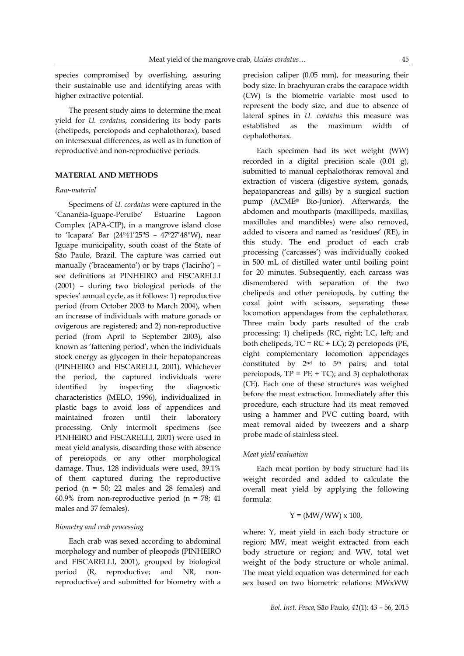species compromised by overfishing, assuring their sustainable use and identifying areas with higher extractive potential.

The present study aims to determine the meat yield for *U. cordatus*, considering its body parts (chelipeds, pereiopods and cephalothorax), based on intersexual differences, as well as in function of reproductive and non-reproductive periods.

# **MATERIAL AND METHODS**

#### *Raw-material*

Specimens of *U. cordatus* were captured in the 'Cananéia-Iguape-Peruíbe' Estuarine Lagoon Complex (APA-CIP), in a mangrove island close to 'Icapara' Bar (24º41'25''S – 47º27'48''W), near Iguape municipality, south coast of the State of São Paulo, Brazil. The capture was carried out manually ('braceamento') or by traps ('lacinho') – see definitions at PINHEIRO and FISCARELLI (2001) – during two biological periods of the species' annual cycle, as it follows: 1) reproductive period (from October 2003 to March 2004), when an increase of individuals with mature gonads or ovigerous are registered; and 2) non-reproductive period (from April to September 2003), also known as 'fattening period', when the individuals stock energy as glycogen in their hepatopancreas (PINHEIRO and FISCARELLI, 2001). Whichever the period, the captured individuals were identified by inspecting the diagnostic characteristics (MELO, 1996), individualized in plastic bags to avoid loss of appendices and maintained frozen until their laboratory processing. Only intermolt specimens (see PINHEIRO and FISCARELLI, 2001) were used in meat yield analysis, discarding those with absence of pereiopods or any other morphological damage. Thus, 128 individuals were used, 39.1% of them captured during the reproductive period (n = 50; 22 males and 28 females) and 60.9% from non-reproductive period ( $n = 78$ ; 41 males and 37 females).

#### *Biometry and crab processing*

Each crab was sexed according to abdominal morphology and number of pleopods (PINHEIRO and FISCARELLI, 2001), grouped by biological period (R, reproductive; and NR, nonreproductive) and submitted for biometry with a

precision caliper (0.05 mm), for measuring their body size. In brachyuran crabs the carapace width (CW) is the biometric variable most used to represent the body size, and due to absence of lateral spines in *U. cordatus* this measure was established as the maximum width of cephalothorax.

Each specimen had its wet weight (WW) recorded in a digital precision scale (0.01 g), submitted to manual cephalothorax removal and extraction of viscera (digestive system, gonads, hepatopancreas and gills) by a surgical suction pump (ACME® Bio-Junior). Afterwards, the abdomen and mouthparts (maxillipeds, maxillas, maxillules and mandibles) were also removed, added to viscera and named as 'residues' (RE), in this study. The end product of each crab processing ('carcasses') was individually cooked in 500 mL of distilled water until boiling point for 20 minutes. Subsequently, each carcass was dismembered with separation of the two chelipeds and other pereiopods, by cutting the coxal joint with scissors, separating these locomotion appendages from the cephalothorax. Three main body parts resulted of the crab processing: 1) chelipeds (RC, right; LC, left; and both chelipeds, TC = RC + LC); 2) pereiopods (PE, eight complementary locomotion appendages constituted by  $2^{nd}$  to  $5^{th}$  pairs; and total pereiopods,  $TP = PE + TC$ ; and 3) cephalothorax (CE). Each one of these structures was weighed before the meat extraction. Immediately after this procedure, each structure had its meat removed using a hammer and PVC cutting board, with meat removal aided by tweezers and a sharp probe made of stainless steel.

#### *Meat yield evaluation*

Each meat portion by body structure had its weight recorded and added to calculate the overall meat yield by applying the following formula:

# $Y = (MW/WW) \times 100,$

where: Y, meat yield in each body structure or region; MW, meat weight extracted from each body structure or region; and WW, total wet weight of the body structure or whole animal. The meat yield equation was determined for each sex based on two biometric relations: MWxWW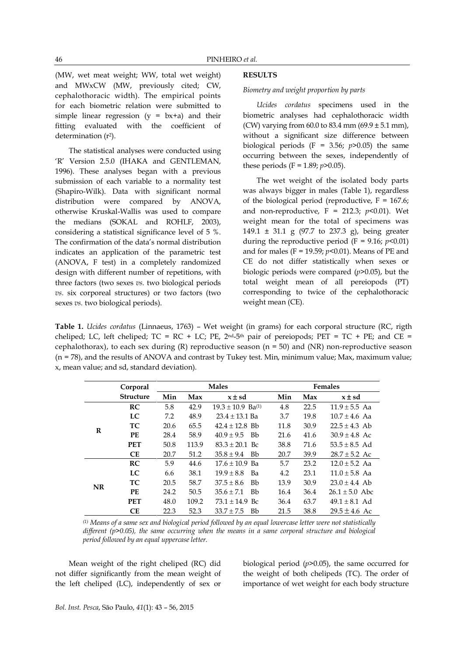(MW, wet meat weight; WW, total wet weight) and MWxCW (MW, previously cited; CW, cephalothoracic width). The empirical points for each biometric relation were submitted to simple linear regression  $(y = bx+a)$  and their fitting evaluated with the coefficient of determination (r<sup>2</sup>).

The statistical analyses were conducted using 'R' Version 2.5.0 (IHAKA and GENTLEMAN, 1996). These analyses began with a previous submission of each variable to a normality test (Shapiro-Wilk). Data with significant normal distribution were compared by ANOVA, otherwise Kruskal-Wallis was used to compare the medians (SOKAL and ROHLF, 2003), considering a statistical significance level of 5 %. The confirmation of the data's normal distribution indicates an application of the parametric test (ANOVA, F test) in a completely randomized design with different number of repetitions, with three factors (two sexes *vs.* two biological periods *vs.* six corporeal structures) or two factors (two sexes *vs.* two biological periods).

# **RESULTS**

### *Biometry and weight proportion by parts*

*Ucides cordatus* specimens used in the biometric analyses had cephalothoracic width (CW) varying from  $60.0$  to  $83.4$  mm  $(69.9 \pm 5.1$  mm), without a significant size difference between biological periods  $(F = 3.56; p > 0.05)$  the same occurring between the sexes, independently of these periods (F =  $1.89; p > 0.05$ ).

The wet weight of the isolated body parts was always bigger in males (Table 1), regardless of the biological period (reproductive,  $F = 167.6$ ; and non-reproductive,  $F = 212.3$ ;  $p<0.01$ ). Wet weight mean for the total of specimens was 149.1  $\pm$  31.1 g (97.7 to 237.3 g), being greater during the reproductive period ( $F = 9.16$ ;  $p < 0.01$ ) and for males (F = 19.59; *p*<0.01). Means of PE and CE do not differ statistically when sexes or biologic periods were compared (*p*>0.05), but the total weight mean of all pereiopods (PT) corresponding to twice of the cephalothoracic weight mean (CE).

**Table 1.** *Ucides cordatus* (Linnaeus, 1763) – Wet weight (in grams) for each corporal structure (RC, rigth cheliped; LC, left cheliped;  $TC = RC + LC$ ; PE,  $2<sup>nd-5<sup>th</sup></sup>$  pair of pereiopods; PET =  $TC + PE$ ; and  $CE =$ cephalothorax), to each sex during (R) reproductive season ( $n = 50$ ) and (NR) non-reproductive season (n = 78), and the results of ANOVA and contrast by Tukey test. Min, minimum value; Max, maximum value; x, mean value; and sd, standard deviation).

|    | Corporal         |      |       | <b>Males</b>                | <b>Females</b> |      |                    |  |
|----|------------------|------|-------|-----------------------------|----------------|------|--------------------|--|
|    | <b>Structure</b> | Min  | Max   | $x \pm sd$                  | Min            | Max  | $x \pm sd$         |  |
| R  | RC               | 5.8  | 42.9  | $19.3 \pm 10.9$ Ba(1)       | 4.8            | 22.5 | $11.9 \pm 5.5$ Aa  |  |
|    | LC               | 7.2  | 48.9  | $23.4 \pm 13.1$ Ba          | 3.7            | 19.8 | $10.7 \pm 4.6$ Aa  |  |
|    | TC               | 20.6 | 65.5  | $42.4 \pm 12.8$ Bb          | 11.8           | 30.9 | $22.5 \pm 4.3$ Ab  |  |
|    | PE               | 28.4 | 58.9  | $40.9 \pm 9.5$<br><b>Bb</b> | 21.6           | 41.6 | $30.9 \pm 4.8$ Ac  |  |
|    | <b>PET</b>       | 50.8 | 113.9 | $83.3 \pm 20.1$ Bc          | 38.8           | 71.6 | $53.5 \pm 8.5$ Ad  |  |
|    | <b>CE</b>        | 20.7 | 51.2  | $35.8 \pm 9.4$<br><b>Bb</b> | 20.7           | 39.9 | $28.7 \pm 5.2$ Ac  |  |
| NR | RC               | 5.9  | 44.6  | $17.6 \pm 10.9$ Ba          | 5.7            | 23.2 | $12.0 \pm 5.2$ Aa  |  |
|    | LC.              | 6.6  | 38.1  | $19.9 \pm 8.8$<br>Ba        | 4.2            | 23.1 | $11.0 \pm 5.8$ Aa  |  |
|    | TC               | 20.5 | 58.7  | <b>Bb</b><br>$37.5 \pm 8.6$ | 13.9           | 30.9 | $23.0 \pm 4.4$ Ab  |  |
|    | PE               | 24.2 | 50.5  | <b>Bb</b><br>$35.6 \pm 7.1$ | 16.4           | 36.4 | $26.1 \pm 5.0$ Abc |  |
|    | <b>PET</b>       | 48.0 | 109.2 | $73.1 \pm 14.9$ Bc          | 36.4           | 63.7 | $49.1 \pm 8.1$ Ad  |  |
|    | <b>CE</b>        | 22.3 | 52.3  | Bb<br>$33.7 \pm 7.5$        | 21.5           | 38.8 | $29.5 \pm 4.6$ Ac  |  |

(1) Means of a same sex and biological period followed by an equal lowercase letter were not statistically *different (p>0.05), the same occurring when the means in a same corporal structure and biological period followed by an equal uppercase letter.*

Mean weight of the right cheliped (RC) did not differ significantly from the mean weight of the left cheliped (LC), independently of sex or

biological period (*p*>0.05), the same occurred for the weight of both chelipeds (TC). The order of importance of wet weight for each body structure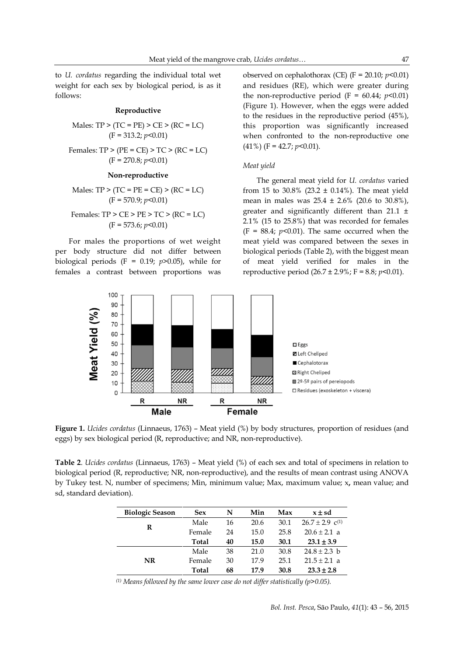to *U. cordatus* regarding the individual total wet weight for each sex by biological period, is as it follows:

#### **Reproductive**

Males: TP > (TC = PE) > CE > (RC = LC)  
(F = 313.2; 
$$
p
$$
 <0.01)

Females: TP > (PE = CE) > TC > (RC = LC)  
(F = 270.8; 
$$
p<0.01
$$
)

#### **Non-reproductive**

Males: TP > (TC = PE = CE) > (RC = LC)  
(F = 570.9; 
$$
p<0.01
$$
)

Females: TP > CE > PE > TC > (RC = LC)  
(F = 573.6; 
$$
p
$$
 < 0.01)

For males the proportions of wet weight per body structure did not differ between biological periods ( $F = 0.19$ ;  $p > 0.05$ ), while for females a contrast between proportions was

observed on cephalothorax (CE)  $(F = 20.10; p<0.01)$ and residues (RE), which were greater during the non-reproductive period  $(F = 60.44; p<0.01)$ (Figure 1). However, when the eggs were added to the residues in the reproductive period (45%), this proportion was significantly increased when confronted to the non-reproductive one  $(41\%)$  (F = 42.7;  $p<0.01$ ).

#### *Meat yield*

The general meat yield for *U. cordatus* varied from 15 to 30.8% (23.2  $\pm$  0.14%). The meat yield mean in males was  $25.4 \pm 2.6\%$  (20.6 to 30.8%), greater and significantly different than 21.1 ± 2.1% (15 to 25.8%) that was recorded for females  $(F = 88.4; p<0.01)$ . The same occurred when the meat yield was compared between the sexes in biological periods (Table 2), with the biggest mean of meat yield verified for males in the reproductive period  $(26.7 \pm 2.9\%)$ ; F = 8.8; *p*<0.01).



**Figure 1.** *Ucides cordatus* (Linnaeus, 1763) – Meat yield (%) by body structures, proportion of residues (and eggs) by sex biological period (R, reproductive; and NR, non-reproductive).

**Table 2**. *Ucides cordatus* (Linnaeus, 1763) – Meat yield (%) of each sex and total of specimens in relation to biological period (R, reproductive; NR, non-reproductive), and the results of mean contrast using ANOVA by Tukey test. N, number of specimens; Min, minimum value; Max, maximum value; x**,** mean value; and sd, standard deviation).

| <b>Biologic Season</b> | <b>Sex</b> | N  | Min  | Max  | $x \pm sd$          |
|------------------------|------------|----|------|------|---------------------|
| R                      | Male       | 16 | 20.6 | 30.1 | $26.7 \pm 2.9$ c(1) |
|                        | Female     | 24 | 15.0 | 25.8 | $20.6 \pm 2.1$ a    |
|                        | Total      | 40 | 15.0 | 30.1 | $23.1 \pm 3.9$      |
|                        | Male       | 38 | 21.0 | 30.8 | $24.8 \pm 2.3$ b    |
| NR                     | Female     | 30 | 17.9 | 25.1 | $21.5 \pm 2.1$ a    |
|                        | Total      | 68 | 17.9 | 30.8 | $23.3 \pm 2.8$      |

*(1) Means followed by the same lower case do not differ statistically (p>0.05).*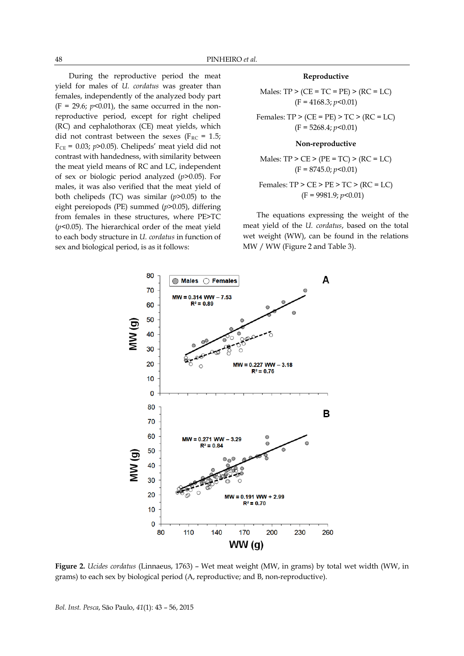During the reproductive period the meat yield for males of *U. cordatus* was greater than females, independently of the analyzed body part  $(F = 29.6; p<0.01)$ , the same occurred in the nonreproductive period, except for right cheliped (RC) and cephalothorax (CE) meat yields, which did not contrast between the sexes ( $F_{RC}$  = 1.5;  $F_{CE} = 0.03$ ;  $p > 0.05$ ). Chelipeds' meat yield did not contrast with handedness, with similarity between the meat yield means of RC and LC, independent of sex or biologic period analyzed (*p*>0.05). For males, it was also verified that the meat yield of both chelipeds (TC) was similar (*p*>0.05) to the eight pereiopods (PE) summed (*p*>0.05), differing from females in these structures, where PE>TC (*p*<0.05). The hierarchical order of the meat yield to each body structure in *U. cordatus* in function of sex and biological period, is as it follows:

#### **Reproductive**

Males: TP > (CE = TC = PE) > (RC = LC)  
(F = 4168.3; 
$$
p
$$
 <0.01)

Females:  $TP$  >  $(CE = PE)$  >  $TC$  >  $(RC = LC)$ (F = 5268.4; *p*<0.01)

#### **Non-reproductive**

Males:  $TP > CE > (PE = TC) > (RC = LC)$ (F = 8745.0; *p*<0.01)

Females: TP > CE > PE > TC > (RC = LC)  
(F = 9981.9; 
$$
p
$$
 < 0.01)

The equations expressing the weight of the meat yield of the *U. cordatus*, based on the total wet weight (WW), can be found in the relations MW / WW (Figure 2 and Table 3).



**Figure 2.** *Ucides cordatus* (Linnaeus, 1763) – Wet meat weight (MW, in grams) by total wet width (WW, in grams) to each sex by biological period (A, reproductive; and B, non-reproductive).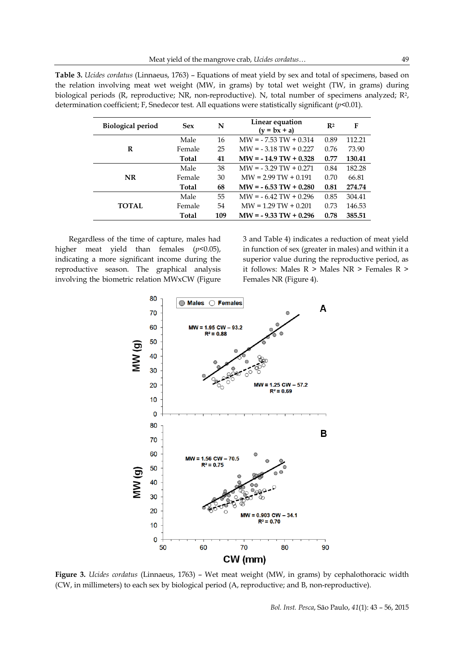| Table 3. <i>Ucides cordatus</i> (Linnaeus, 1763) – Equations of meat yield by sex and total of specimens, based on  |
|---------------------------------------------------------------------------------------------------------------------|
| the relation involving meat wet weight (MW, in grams) by total wet weight (TW, in grams) during                     |
| biological periods (R, reproductive; NR, non-reproductive). N, total number of specimens analyzed; R <sup>2</sup> , |
| determination coefficient; F, Snedecor test. All equations were statistically significant $(p<0.01)$ .              |

| <b>Sex</b>   | N   | Linear equation<br>$(y = bx + a)$ | R <sup>2</sup> | F      |
|--------------|-----|-----------------------------------|----------------|--------|
| Male         | 16  | $MW = -7.53 TW + 0.314$           | 0.89           | 112.21 |
| Female       | 25  | $MW = -3.18 TW + 0.227$           | 0.76           | 73.90  |
| <b>Total</b> | 41  | $MW = -14.9 TW + 0.328$           | 0.77           | 130.41 |
| Male         | 38  | $MW = -3.29 TW + 0.271$           | 0.84           | 182.28 |
| Female       | 30  | $MW = 2.99 TW + 0.191$            | 0.70           | 66.81  |
| <b>Total</b> | 68  | $MW = -6.53 TW + 0.280$           | 0.81           | 274.74 |
| Male         | 55  | $MW = -6.42 TW + 0.296$           | 0.85           | 304.41 |
| Female       | 54  | $MW = 1.29 TW + 0.201$            | 0.73           | 146.53 |
| Total        | 109 | $MW = -9.33 TW + 0.296$           | 0.78           | 385.51 |
|              |     |                                   |                |        |

Regardless of the time of capture, males had higher meat yield than females (*p*<0.05), indicating a more significant income during the reproductive season. The graphical analysis involving the biometric relation MWxCW (Figure 3 and Table 4) indicates a reduction of meat yield in function of sex (greater in males) and within it a superior value during the reproductive period, as it follows: Males R > Males NR > Females R > Females NR (Figure 4).



**Figure 3.** *Ucides cordatus* (Linnaeus, 1763) – Wet meat weight (MW, in grams) by cephalothoracic width (CW, in millimeters) to each sex by biological period (A, reproductive; and B, non-reproductive).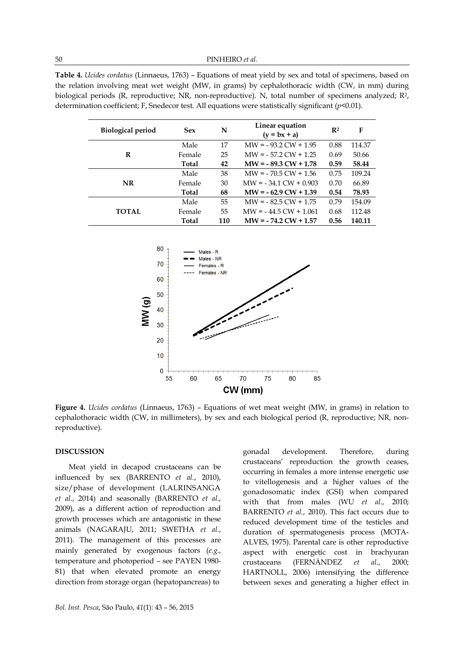**Table 4.** *Ucides cordatus* (Linnaeus, 1763) – Equations of meat yield by sex and total of specimens, based on the relation involving meat wet weight (MW, in grams) by cephalothoracic width (CW, in mm) during biological periods (R, reproductive; NR, non-reproductive). N, total number of specimens analyzed; R<sup>2</sup>, determination coefficient; F, Snedecor test. All equations were statistically significant (*p*<0.01).

| <b>Biological period</b> | <b>Sex</b>   | N   | Linear equation<br>$(y = bx + a)$ | R <sup>2</sup> | F      |
|--------------------------|--------------|-----|-----------------------------------|----------------|--------|
|                          | Male         | 17  | $MW = -93.2 CW + 1.95$            | 0.88           | 114.37 |
| R                        | Female       | 25  | $MW = -57.2 CW + 1.25$            | 0.69           | 50.66  |
|                          | <b>Total</b> | 42  | $MW = -89.3 CW + 1.78$            | 0.59           | 58.44  |
|                          | Male         | 38  | $MW = -70.5 CW + 1.56$            | 0.75           | 109.24 |
| NR                       | Female       | 30  | $MW = -34.1 CW + 0.903$           | 0.70           | 66.89  |
|                          | Total        | 68  | $MW = -62.9 CW + 1.39$            | 0.54           | 78.93  |
|                          | Male         | 55  | $MW = -82.5 CW + 1.75$            | 0.79           | 154.09 |
| <b>TOTAL</b>             | Female       | 55  | $MW = -44.5 CW + 1.061$           | 0.68           | 112.48 |
|                          | <b>Total</b> | 110 | $MW = -74.2 CW + 1.57$            | 0.56           | 140.11 |



**Figure 4.** *Ucides cordatus* (Linnaeus, 1763) – Equations of wet meat weight (MW, in grams) in relation to cephalothoracic width (CW, in millimeters), by sex and each biological period (R, reproductive; NR, nonreproductive).

#### **DISCUSSION**

Meat yield in decapod crustaceans can be influenced by sex (BARRENTO *et al.*, 2010), size/phase of development (LALRINSANGA *et al.*, 2014) and seasonally (BARRENTO *et al.*, 2009), as a different action of reproduction and growth processes which are antagonistic in these animals (NAGARAJU, 2011; SWETHA *et al.*, 2011). The management of this processes are mainly generated by exogenous factors (*e.g.*, temperature and photoperiod – see PAYEN 1980- 81) that when elevated promote an energy direction from storage organ (hepatopancreas) to

gonadal development. Therefore, during crustaceans' reproduction the growth ceases, occurring in females a more intense energetic use to vitellogenesis and a higher values of the gonadosomatic index (GSI) when compared with that from males (WU *et al.*, 2010; BARRENTO *et al.*, 2010). This fact occurs due to reduced development time of the testicles and duration of spermatogenesis process (MOTA-ALVES, 1975). Parental care is other reproductive aspect with energetic cost in brachyuran crustaceans (FERNÁNDEZ *et al.*, 2000; HARTNOLL, 2006) intensifying the difference between sexes and generating a higher effect in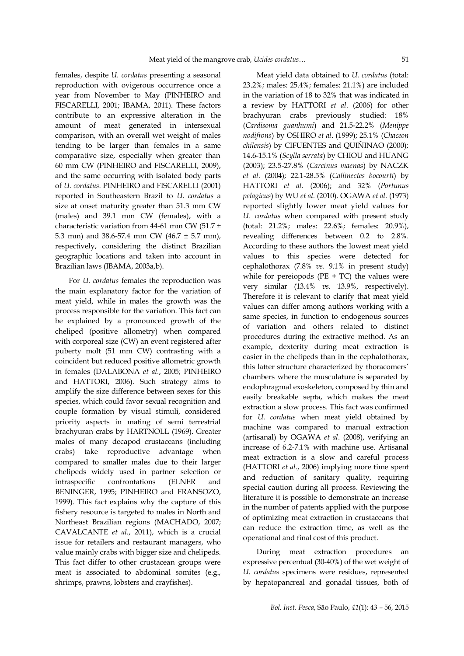females, despite *U. cordatus* presenting a seasonal reproduction with ovigerous occurrence once a year from November to May (PINHEIRO and FISCARELLI, 2001; IBAMA, 2011). These factors contribute to an expressive alteration in the amount of meat generated in intersexual comparison, with an overall wet weight of males tending to be larger than females in a same comparative size, especially when greater than 60 mm CW (PINHEIRO and FISCARELLI, 2009), and the same occurring with isolated body parts of *U. cordatus*. PINHEIRO and FISCARELLI (2001) reported in Southeastern Brazil to *U. cordatus* a size at onset maturity greater than 51.3 mm CW (males) and 39.1 mm CW (females), with a characteristic variation from 44-61 mm CW (51.7 ± 5.3 mm) and 38.6-57.4 mm CW (46.7 ± 5.7 mm), respectively, considering the distinct Brazilian geographic locations and taken into account in Brazilian laws (IBAMA, 2003a,b).

For *U. cordatus* females the reproduction was the main explanatory factor for the variation of meat yield, while in males the growth was the process responsible for the variation. This fact can be explained by a pronounced growth of the cheliped (positive allometry) when compared with corporeal size (CW) an event registered after puberty molt (51 mm CW) contrasting with a coincident but reduced positive allometric growth in females (DALABONA *et al.*, 2005; PINHEIRO and HATTORI, 2006). Such strategy aims to amplify the size difference between sexes for this species, which could favor sexual recognition and couple formation by visual stimuli, considered priority aspects in mating of semi terrestrial brachyuran crabs by HARTNOLL (1969). Greater males of many decapod crustaceans (including crabs) take reproductive advantage when compared to smaller males due to their larger chelipeds widely used in partner selection or intraspecific confrontations (ELNER and BENINGER, 1995; PINHEIRO and FRANSOZO, 1999). This fact explains why the capture of this fishery resource is targeted to males in North and Northeast Brazilian regions (MACHADO, 2007; CAVALCANTE *et al.*, 2011), which is a crucial issue for retailers and restaurant managers, who value mainly crabs with bigger size and chelipeds. This fact differ to other crustacean groups were meat is associated to abdominal somites (e.g., shrimps, prawns, lobsters and crayfishes).

Meat yield data obtained to *U. cordatus* (total: 23.2%; males: 25.4%; females: 21.1%) are included in the variation of 18 to 32% that was indicated in a review by HATTORI *et al*. (2006) for other brachyuran crabs previously studied: 18% (*Cardisoma guanhumi*) and 21.5-22.2% (*Menippe nodifrons*) by OSHIRO *et al*. (1999); 25.1% (*Chaceon chilensis*) by CIFUENTES and QUIÑINAO (2000); 14.6-15.1% (*Scylla serrata*) by CHIOU and HUANG (2003); 23.5-27.8% (*Carcinus maenas*) by NACZK *et al*. (2004); 22.1-28.5% (*Callinectes bocourti*) by HATTORI *et al.* (2006); and 32% (*Portunus pelagicus*) by WU *et al.* (2010). OGAWA *et al.* (1973) reported slightly lower meat yield values for *U. cordatus* when compared with present study (total: 21.2%; males: 22.6%; females: 20.9%), revealing differences between 0.2 to 2.8%. According to these authors the lowest meat yield values to this species were detected for cephalothorax (7.8% *vs.* 9.1% in present study) while for pereiopods ( $PE + TC$ ) the values were very similar (13.4% *vs.* 13.9%, respectively). Therefore it is relevant to clarify that meat yield values can differ among authors working with a same species, in function to endogenous sources of variation and others related to distinct procedures during the extractive method. As an example, dexterity during meat extraction is easier in the chelipeds than in the cephalothorax, this latter structure characterized by thoracomers' chambers where the musculature is separated by endophragmal exoskeleton, composed by thin and easily breakable septa, which makes the meat extraction a slow process. This fact was confirmed for *U. cordatus* when meat yield obtained by machine was compared to manual extraction (artisanal) by OGAWA *et al*. (2008), verifying an increase of 6.2-7.1% with machine use. Artisanal meat extraction is a slow and careful process (HATTORI *et al.*, 2006) implying more time spent and reduction of sanitary quality, requiring special caution during all process. Reviewing the literature it is possible to demonstrate an increase in the number of patents applied with the purpose of optimizing meat extraction in crustaceans that can reduce the extraction time, as well as the operational and final cost of this product.

During meat extraction procedures an expressive percentual (30-40%) of the wet weight of *U. cordatus* specimens were residues, represented by hepatopancreal and gonadal tissues, both of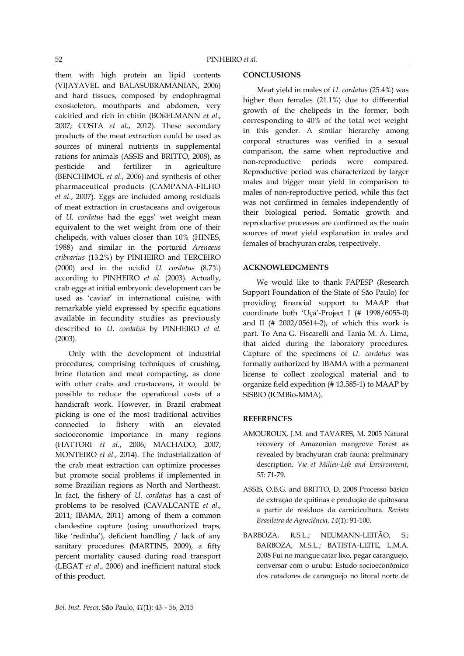them with high protein an lipid contents (VIJAYAVEL and BALASUBRAMANIAN, 2006) and hard tissues, composed by endophragmal exoskeleton, mouthparts and abdomen, very calcified and rich in chitin (BOßELMANN *et al.*, 2007; COSTA *et al.*, 2012). These secondary products of the meat extraction could be used as sources of mineral nutrients in supplemental rations for animals (ASSIS and BRITTO, 2008), as pesticide and fertilizer in agriculture (BENCHIMOL *et al.*, 2006) and synthesis of other pharmaceutical products (CAMPANA-FILHO *et al.*, 2007). Eggs are included among residuals of meat extraction in crustaceans and ovigerous of *U. cordatus* had the eggs' wet weight mean equivalent to the wet weight from one of their chelipeds, with values closer than 10% (HINES, 1988) and similar in the portunid *Arenaeus cribrarius* (13.2%) by PINHEIRO and TERCEIRO (2000) and in the ucidid *U. cordatus* (8.7%) according to PINHEIRO *et al*. (2003). Actually, crab eggs at initial embryonic development can be used as 'caviar' in international cuisine, with remarkable yield expressed by specific equations available in fecundity studies as previously described to *U. cordatus* by PINHEIRO *et al.* (2003).

Only with the development of industrial procedures, comprising techniques of crushing, brine flotation and meat compacting, as done with other crabs and crustaceans, it would be possible to reduce the operational costs of a handicraft work. However, in Brazil crabmeat picking is one of the most traditional activities connected to fishery with an elevated socioeconomic importance in many regions (HATTORI *et al.*, 2006; MACHADO, 2007; MONTEIRO *et al.*, 2014). The industrialization of the crab meat extraction can optimize processes but promote social problems if implemented in some Brazilian regions as North and Northeast. In fact, the fishery of *U. cordatus* has a cast of problems to be resolved (CAVALCANTE *et al.*, 2011; IBAMA, 2011) among of them a common clandestine capture (using unauthorized traps, like 'redinha'), deficient handling / lack of any sanitary procedures (MARTINS, 2009), a fifty percent mortality caused during road transport (LEGAT *et al*., 2006) and inefficient natural stock of this product.

# **CONCLUSIONS**

Meat yield in males of *U. cordatus* (25.4%) was higher than females (21.1%) due to differential growth of the chelipeds in the former, both corresponding to 40% of the total wet weight in this gender. A similar hierarchy among corporal structures was verified in a sexual comparison, the same when reproductive and non-reproductive periods were compared. Reproductive period was characterized by larger males and bigger meat yield in comparison to males of non-reproductive period, while this fact was not confirmed in females independently of their biological period. Somatic growth and reproductive processes are confirmed as the main sources of meat yield explanation in males and females of brachyuran crabs, respectively.

### **ACKNOWLEDGMENTS**

We would like to thank FAPESP (Research Support Foundation of the State of São Paulo) for providing financial support to MAAP that coordinate both 'Uçá'-Project I (# 1998/6055-0) and II (# 2002/05614-2), of which this work is part. To Ana G. Fiscarelli and Tania M. A. Lima, that aided during the laboratory procedures. Capture of the specimens of *U. cordatus* was formally authorized by IBAMA with a permanent license to collect zoological material and to organize field expedition (# 13.585-1) to MAAP by SISBIO (ICMBio-MMA).

# **REFERENCES**

- AMOUROUX, J.M. and TAVARES, M. 2005 Natural recovery of Amazonian mangrove Forest as revealed by brachyuran crab fauna: preliminary description. *Vie et Milieu-Life and Environment*, *55*: 71-79.
- ASSIS, O.B.G. and BRITTO, D. 2008 Processo básico de extração de quitinas e produção de quitosana a partir de resíduos da carnicicultura. *Revista Brasileira de Agrociência*, *14*(1): 91-100.
- BARBOZA, R.S.L.; NEUMANN-LEITÃO, S.; BARBOZA, M.S.L.; BATISTA-LEITE, L.M.A. 2008 Fui no mangue catar lixo, pegar caranguejo, conversar com o urubu: Estudo socioeconômico dos catadores de caranguejo no litoral norte de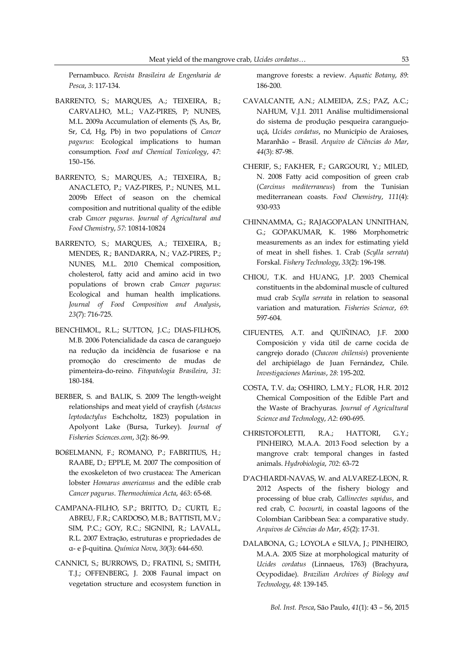Pernambuco. *Revista Brasileira de Engenharia de Pesca*, *3*: 117-134.

- BARRENTO, S.; MARQUES, A.; TEIXEIRA, B.; CARVALHO, M.L.; VAZ-PIRES, P; NUNES, M.L. 2009a Accumulation of elements (S, As, Br, Sr, Cd, Hg, Pb) in two populations of *Cancer pagurus*: Ecological implications to human consumption. *Food and Chemical Toxicology*, *47*: 150–156.
- BARRENTO, S.; MARQUES, A.; TEIXEIRA, B.; ANACLETO, P.; VAZ-PIRES, P.; NUNES, M.L. 2009b Effect of season on the chemical composition and nutritional quality of the edible crab *Cancer pagurus*. *Journal of Agricultural and Food Chemistry*, *57*: 10814-10824
- BARRENTO, S.; MARQUES, A.; TEIXEIRA, B.; MENDES, R.; BANDARRA, N.; VAZ-PIRES, P.; NUNES, M.L. 2010 Chemical composition, cholesterol, fatty acid and amino acid in two populations of brown crab *Cancer pagurus*: Ecological and human health implications. *Journal of Food Composition and Analysis*, *23*(7): 716-725.
- BENCHIMOL, R.L.; SUTTON, J.C.; DIAS-FILHOS, M.B. 2006 Potencialidade da casca de caranguejo na redução da incidência de fusariose e na promoção do crescimento de mudas de pimenteira-do-reino. *Fitopatologia Brasileira*, *31*: 180-184.
- BERBER, S. and BALIK, S. 2009 The length-weight relationships and meat yield of crayfish (*Astacus leptodactylus* Eschcholtz, 1823) population in Apolyont Lake (Bursa, Turkey). *Journal of Fisheries Sciences.com*, *3*(2): 86-99.
- BOßELMANN, F.; ROMANO, P.; FABRITIUS, H.; RAABE, D.; EPPLE, M. 2007 The composition of the exoskeleton of two crustacea: The American lobster *Homarus americanus* and the edible crab *Cancer pagurus*. *Thermochimica Acta*, *463*: 65-68.
- CAMPANA-FILHO, S.P.; BRITTO, D.; CURTI, E.; ABREU, F.R.; CARDOSO, M.B.; BATTISTI, M.V.; SIM, P.C.; GOY, R.C.; SIGNINI, R.; LAVALL, R.L. 2007 Extração, estruturas e propriedades de α- e β-quitina. *Química Nova*, *30*(3): 644-650.
- CANNICI, S.; BURROWS, D.; FRATINI, S.; SMITH, T.J.; OFFENBERG, J. 2008 Faunal impact on vegetation structure and ecosystem function in

mangrove forests: a review. *Aquatic Botany*, *89*: 186-200.

- CAVALCANTE, A.N.; ALMEIDA, Z.S.; PAZ, A.C.; NAHUM, V.J.I. 2011 Análise multidimensional do sistema de produção pesqueira caranguejouçá, *Ucides cordatus*, no Município de Araioses, Maranhão – Brasil. *Arquivo de Ciências do Mar*, *44*(3): 87-98.
- CHERIF, S.; FAKHER, F.; GARGOURI, Y.; MILED, N. 2008 Fatty acid composition of green crab (*Carcinus mediterraneus*) from the Tunisian mediterranean coasts. *Food Chemistry*, *111*(4): 930-933
- CHINNAMMA, G.; RAJAGOPALAN UNNITHAN, G.; GOPAKUMAR, K. 1986 Morphometric measurements as an index for estimating yield of meat in shell fishes. 1. Crab (*Scylla serrata*) Forskal. *Fishery Technology*, *33*(2): 196-198.
- CHIOU, T.K. and HUANG, J.P. 2003 Chemical constituents in the abdominal muscle of cultured mud crab *Scylla serrata* in relation to seasonal variation and maturation. *Fisheries Science*, *69*: 597-604.
- CIFUENTES, A.T. and QUIÑINAO, J.F. 2000 Composición y vida útil de carne cocida de cangrejo dorado (*Chaceon chilensis*) proveniente del archipiélago de Juan Fernández, Chile. *Investigaciones Marinas*, *28*: 195-202.
- COSTA, T.V. da; OSHIRO, L.M.Y.; FLOR, H.R. 2012 Chemical Composition of the Edible Part and the Waste of Brachyuras. *Journal of Agricultural Science and Technology*, *A2*: 690-695.
- CHRISTOFOLETTI, R.A.: HATTORI, G.Y.: PINHEIRO, M.A.A. 2013 Food selection by a mangrove crab: temporal changes in fasted animals. *Hydrobiologia*, *702*: 63-72
- D'ACHIARDI-NAVAS, W. and ALVAREZ-LEON, R. 2012 Aspects of the fishery biology and processing of blue crab, *Callinectes sapidus*, and red crab, *C. bocourti*, in coastal lagoons of the Colombian Caribbean Sea: a comparative study. *Arquivos de Ciências do Mar*, *45*(2): 17-31.
- DALABONA, G.; LOYOLA e SILVA, J.; PINHEIRO, M.A.A. 2005 Size at morphological maturity of *Ucides cordatus* (Linnaeus, 1763) (Brachyura, Ocypodidae). *Brazilian Archives of Biology and Technology*, *48*: 139-145.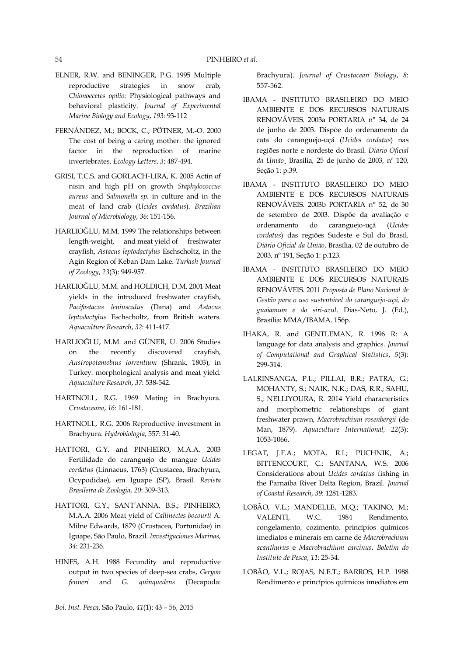- ELNER, R.W. and BENINGER, P.G. 1995 Multiple reproductive strategies in snow crab, *Chionoecetes opilio*: Physiological pathways and behavioral plasticity. *Journal of Experimental Marine Biology and Ecology*, *193*: 93-112
- FERNÁNDEZ, M.; BOCK, C.; PÖTNER, M.-O. 2000 The cost of being a caring mother: the ignored factor in the reproduction of marine invertebrates. *Ecology Letters*, *3*: 487-494.
- GRISI, T.C.S. and GORLACH-LIRA, K. 2005 Actin of nisin and high pH on growth *Staphylococcus aureus* and *Salmonella sp.* in culture and in the meat of land crab (*Ucides cordatus*). *Brazilian Journal of Microbiology*, *36*: 151-156.
- HARLIOĞLU, M.M. 1999 The relationships between length-weight, and meat yield of freshwater crayfish, *Astacus leptodactylus* Eschscholtz, in the Agin Region of Keban Dam Lake. *Turkish Journal of Zoology*, *23*(3): 949-957.
- HARLIOĞLU, M.M. and HOLDICH, D.M. 2001 Meat yields in the introduced freshwater crayfish, *Pacifastacus leniusculus* (Dana) and *Astacus leptodactylus* Eschscholtz, from British waters. *Aquaculture Research*, *32*: 411-417.
- HARLIOĞLU, M.M. and GÜNER, U. 2006 Studies on the recently discovered crayfish, *Austropotamobius torrentium* (Shrank, 1803), in Turkey: morphological analysis and meat yield. *Aquaculture Research*, *37*: 538-542.
- HARTNOLL, R.G. 1969 Mating in Brachyura. *Crustaceana*, *16*: 161-181.
- HARTNOLL, R.G. 2006 Reproductive investment in Brachyura. *Hydrobiologia*, 557: 31-40.
- HATTORI, G.Y. and PINHEIRO, M.A.A. 2003 Fertilidade do caranguejo de mangue *Ucides cordatus* (Linnaeus, 1763) (Crustacea, Brachyura, Ocypodidae), em Iguape (SP), Brasil. *Revista Brasileira de Zoologia*, *20*: 309-313.
- HATTORI, G.Y.; SANT'ANNA, B.S.; PINHEIRO, M.A.A. 2006 Meat yield of *Callinectes bocourti* A. Milne Edwards, 1879 (Crustacea, Portunidae) in Iguape, São Paulo, Brazil. *Investigaciones Marinas*, *34*: 231-236.
- HINES, A.H. 1988 Fecundity and reproductive output in two species of deep-sea crabs, *Geryon fenneri* and *G. quinquedens* (Decapoda:

Brachyura). *Journal of Crustacean Biology*, *8*: 557-562.

- IBAMA INSTITUTO BRASILEIRO DO MEIO AMBIENTE E DOS RECURSOS NATURAIS RENOVÁVEIS. 2003a PORTARIA n° 34, de 24 de junho de 2003. Dispõe do ordenamento da cata do caranguejo-uçá (*Ucides cordatus*) nas regiões norte e nordeste do Brasil. *Diário Oficial da União*¸ Brasília, 25 de junho de 2003, nº 120, Seção 1: p.39.
- IBAMA INSTITUTO BRASILEIRO DO MEIO AMBIENTE E DOS RECURSOS NATURAIS RENOVÁVEIS. 2003b PORTARIA n° 52, de 30 de setembro de 2003. Dispõe da avaliação e ordenamento do caranguejo-uçá (*Ucides cordatus*) das regiões Sudeste e Sul do Brasil. *Diário Oficial da União*, Brasília, 02 de outubro de 2003, nº 191, Seção 1: p.123.
- IBAMA INSTITUTO BRASILEIRO DO MEIO AMBIENTE E DOS RECURSOS NATURAIS RENOVÁVEIS. 2011 *Proposta de Plano Nacional de Gestão para o uso sustentável do caranguejo-uçá, do guaiamum e do siri-azul*. Dias-Neto, J. (Ed.), Brasília: MMA/IBAMA. 156p.
- IHAKA, R. and GENTLEMAN, R. 1996 R: A language for data analysis and graphics. *Journal of Computational and Graphical Statistics*, *5*(3): 299-314.
- LALRINSANGA, P.L.; PILLAI, B.R.; PATRA, G.; MOHANTY, S.; NAIK, N.K.; DAS, R.R.; SAHU, S.; NELLIYOURA, R. 2014 Yield characteristics and morphometric relationships of giant freshwater prawn, *Macrobrachium rosenbergii* (de Man, 1879). *Aquaculture International, 22*(3): 1053-1066.
- LEGAT, J.F.A.; MOTA, R.I.; PUCHNIK, A.; BITTENCOURT, C.; SANTANA, W.S. 2006 Considerations about *Ucides cordatus* fishing in the Parnaíba River Delta Region, Brazil. *Journal of Coastal Research*, *39*: 1281-1283.
- LOBÃO, V.L.; MANDELLE, M.Q.; TAKINO, M.; VALENTI, W.C. 1984 Rendimento, congelamento, cozimento, princípios químicos imediatos e minerais em carne de *Macrobrachium acanthurus* e *Macrobrachium carcinus*. *Boletim do Instituto de Pesca*, *11*: 25-34.
- LOBÃO, V.L.; ROJAS, N.E.T.; BARROS, H.P. 1988 Rendimento e princípios químicos imediatos em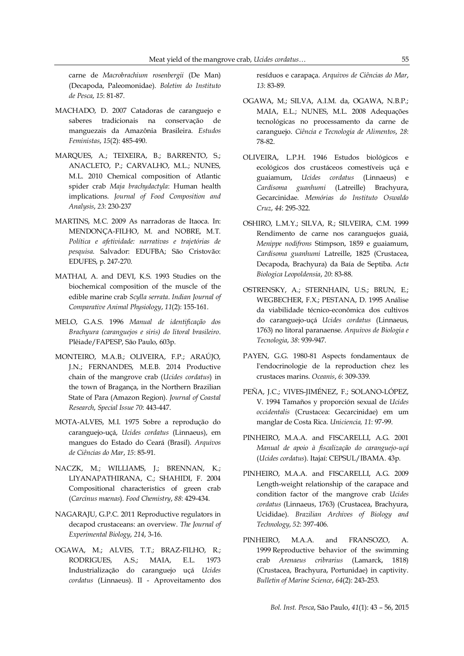carne de *Macrobrachium rosenbergii* (De Man) (Decapoda, Paleomonidae). *Boletim do Instituto de Pesca*, *15*: 81-87.

- MACHADO, D. 2007 Catadoras de caranguejo e saberes tradicionais na conservação de manguezais da Amazônia Brasileira. *Estudos Feministas*, *15*(2): 485-490.
- MARQUES, A.; TEIXEIRA, B.; BARRENTO, S.; ANACLETO, P.; CARVALHO, M.L.; NUNES, M.L. 2010 Chemical composition of Atlantic spider crab *Maja brachydactyla*: Human health implications. *Journal of Food Composition and Analysis*, *23*: 230-237
- MARTINS, M.C. 2009 As narradoras de Itaoca. In: MENDONÇA-FILHO, M. and NOBRE, M.T. *Política e afetividade: narrativas e trajetórias de pesquisa*. Salvador: EDUFBA; São Cristovão: EDUFES, p. 247-270.
- MATHAI, A. and DEVI, K.S. 1993 Studies on the biochemical composition of the muscle of the edible marine crab *[Scylla](http://apps.webofknowledge.com/full_record.do?product=UA&search_mode=GeneralSearch&qid=1&SID=1BkvsEISPprH3qm7OJG&page=3&doc=30) serrata*. *Indian Journal of Comparative Animal Physiology*, *11*(2): 155-161.
- MELO, G.A.S. 1996 *Manual de identificação dos Brachyura (caranguejos e siris) do litoral brasileiro*. Plêiade/FAPESP, São Paulo, 603p.
- MONTEIRO, M.A.B.; OLIVEIRA, F.P.; ARAÚJO, J.N.; FERNANDES, M.E.B. 2014 Productive chain of the mangrove crab (*Ucides cordatus*) in the town of Bragança, in the Northern Brazilian State of Para (Amazon Region). *Journal of Coastal Research*, *Special Issue 70*: 443-447.
- MOTA-ALVES, M.I. 1975 Sobre a reprodução do caranguejo-uçá, *Ucides cordatus* (Linnaeus), em mangues do Estado do Ceará (Brasil). *Arquivos de Ciências do Mar*, *15*: 85-91.
- NACZK, M.; WILLIAMS, J.; BRENNAN, K.; LIYANAPATHIRANA, C.; SHAHIDI, F. 2004 Compositional characteristics of green crab (*Carcinus maenas*). *Food Chemistry*, *88*: 429-434.
- NAGARAJU, G.P.C. 2011 Reproductive regulators in decapod crustaceans: an overview. *The Journal of Experimental Biology*, *214*, 3-16.
- OGAWA, M.; ALVES, T.T.; BRAZ-FILHO, R.; RODRIGUES, A.S.; MAIA, E.L. 1973 Industrialização do caranguejo uçá *Ucides cordatus* (Linnaeus). II - Aproveitamento dos

resíduos e carapaça. *Arquivos de Ciências do Mar*, *13*: 83-89.

- OGAWA, M.; SILVA, A.I.M. da, OGAWA, N.B.P.; MAIA, E.L.; NUNES, M.L. 2008 Adequações tecnológicas no processamento da carne de caranguejo. *Ciência e Tecnologia de Alimentos*, *28*: 78-82.
- OLIVEIRA, L.P.H. 1946 Estudos biológicos e ecológicos dos crustáceos comestíveis uçá e guaiamum, *Ucides cordatus* (Linnaeus) e *Cardisoma guanhumi* (Latreille) Brachyura, Gecarcinidae. *Memórias do Instituto Oswaldo Cruz*, *44*: 295-322.
- OSHIRO, L.M.Y.; SILVA, R.; SILVEIRA, C.M. 1999 Rendimento de carne nos caranguejos guaiá, *Menippe nodifrons* Stimpson, 1859 e guaiamum, *Cardisoma guanhumi* Latreille, 1825 (Crustacea, Decapoda, Brachyura) da Baía de Septiba. *Acta Biologica Leopoldensia*, *20*: 83-88.
- OSTRENSKY, A.; STERNHAIN, U.S.; BRUN, E.; WEGBECHER, F.X.; PESTANA, D. 1995 Análise da viabilidade técnico-econômica dos cultivos do caranguejo-uçá *Ucides cordatus* (Linnaeus, 1763) no litoral paranaense. *Arquivos de Biologia e Tecnologia*, *38*: 939-947.
- PAYEN, G.G. 1980-81 Aspects fondamentaux de I'endocrinologie de la reproduction chez les crustaces marins. *Oceanis*, *6*: 309-339.
- PEÑA, J.C.; VIVES-JIMÉNEZ, F.; SOLANO-LÓPEZ, V. 1994 Tamaños y proporción sexual de *Ucides occidentalis* (Crustacea: Gecarcinidae) em um manglar de Costa Rica. *Uniciencia, 11*: 97-99.
- PINHEIRO, M.A.A. and FISCARELLI, A.G. 2001 *Manual de apoio à fiscalização do caranguejo-uçá* (*Ucides cordatus*). Itajaí: CEPSUL/IBAMA. 43p.
- PINHEIRO, M.A.A. and FISCARELLI, A.G. 2009 Length-weight relationship of the carapace and condition factor of the mangrove crab *Ucides cordatus* (Linnaeus, 1763) (Crustacea, Brachyura, Ucididae). *Brazilian Archives of Biology and Technology*, *52*: 397-406.
- PINHEIRO, M.A.A. and FRANSOZO, A. 1999 Reproductive behavior of the swimming crab *Arenaeus cribrarius* (Lamarck, 1818) (Crustacea, Brachyura, Portunidae) in captivity. *Bulletin of Marine Science*, *64*(2): 243-253.